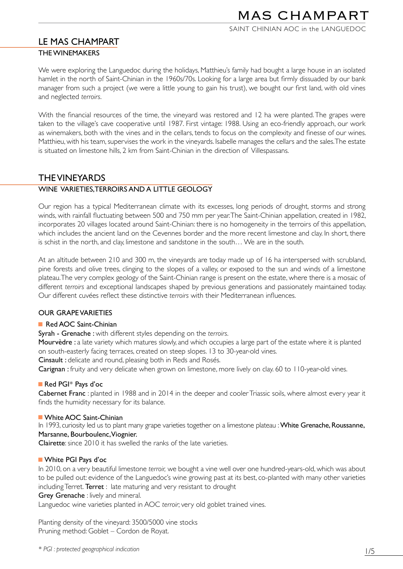## SAINT CHINIAN AOC in the LANGUEDOC

# LE MAS CHAMPART

### THE WINEMAKERS

We were exploring the Languedoc during the holidays, Matthieu's family had bought a large house in an isolated hamlet in the north of Saint-Chinian in the 1960s/70s. Looking for a large area but firmly dissuaded by our bank manager from such a project (we were a little young to gain his trust), we bought our first land, with old vines and neglected *terroirs*.

With the financial resources of the time, the vineyard was restored and 12 ha were planted. The grapes were taken to the village's cave cooperative until 1987. First vintage: 1988. Using an eco-friendly approach, our work as winemakers, both with the vines and in the cellars, tends to focus on the complexity and finesse of our wines. Matthieu, with his team, supervises the work in the vineyards. Isabelle manages the cellars and the sales. The estate is situated on limestone hills, 2 km from Saint-Chinian in the direction of Villespassans.

# THE VINEYARDS

## WINE VARIETIES,TERROIRS AND A LITTLE GEOLOGY

Our region has a typical Mediterranean climate with its excesses, long periods of drought, storms and strong winds, with rainfall fluctuating between 500 and 750 mm per year. The Saint-Chinian appellation, created in 1982, incorporates 20 villages located around Saint-Chinian: there is no homogeneity in the terroirs of this appellation, which includes the ancient land on the Cevennes border and the more recent limestone and clay. In short, there is schist in the north, and clay, limestone and sandstone in the south… We are in the south.

At an altitude between 210 and 300 m, the vineyards are today made up of 16 ha interspersed with scrubland, pine forests and olive trees, clinging to the slopes of a valley, or exposed to the sun and winds of a limestone plateau. The very complex geology of the Saint-Chinian range is present on the estate, where there is a mosaic of different *terroirs* and exceptional landscapes shaped by previous generations and passionately maintained today. Our different cuvées reflect these distinctive *terroirs* with their Mediterranean influences.

## OUR GRAPE VARIETIES

#### Red AOC Saint-Chinian

Syrah - Grenache : with different styles depending on the *terroirs*.

Mourvèdre : a late variety which matures slowly, and which occupies a large part of the estate where it is planted on south-easterly facing terraces, created on steep slopes. 13 to 30-year-old vines.

Cinsault : delicate and round, pleasing both in Reds and Rosés.

Carignan : fruity and very delicate when grown on limestone, more lively on clay. 60 to 110-year-old vines.

#### Red PGI\* Pays d'oc

Cabernet Franc : planted in 1988 and in 2014 in the deeper and cooler Triassic soils, where almost every year it finds the humidity necessary for its balance.

#### **NAIL White AOC Saint-Chinian**

In 1993, curiosity led us to plant many grape varieties together on a limestone plateau : White Grenache, Roussanne, Marsanne, Bourboulenc, Viognier.

Clairette: since 2010 it has swelled the ranks of the late varieties.

## **White PGI Pays d'oc**

In 2010, on a very beautiful limestone *terroir,* we bought a vine well over one hundred-years-old, which was about to be pulled out: evidence of the Languedoc's wine growing past at its best, co-planted with many other varieties including Terret. Terret : late maturing and very resistant to drought

#### Grey Grenache : lively and mineral.

Languedoc wine varieties planted in AOC *terroir*; very old goblet trained vines.

Planting density of the vineyard: 3500/5000 vine stocks Pruning method: Goblet – Cordon de Royat.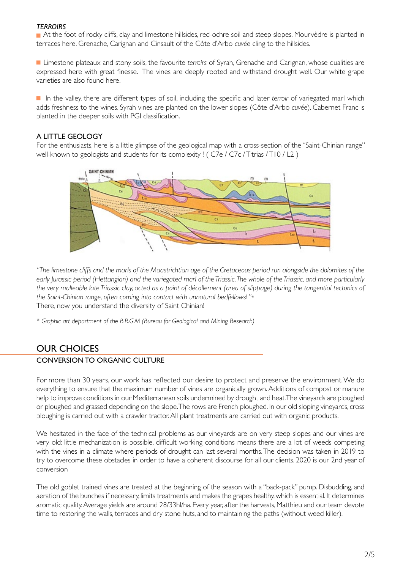#### *TERROIRS*

<sup>g</sup> At the foot of rocky cliffs, clay and limestone hillsides, red-ochre soil and steep slopes. Mourvèdre is planted in terraces here. Grenache, Carignan and Cinsault of the Côte d'Arbo *cuvée* cling to the hillsides.

<sup>g</sup> Limestone plateaux and stony soils, the favourite *terroirs* of Syrah, Grenache and Carignan, whose qualities are expressed here with great finesse. The vines are deeply rooted and withstand drought well. Our white grape varieties are also found here.

In the valley, there are different types of soil, including the specific and later *terroir* of variegated marl which adds freshness to the wines. Syrah vines are planted on the lower slopes (Côte d'Arbo *cuvée*). Cabernet Franc is planted in the deeper soils with PGI classification.

### A LITTLE GEOLOGY

For the enthusiasts, here is a little glimpse of the geological map with a cross-section of the "Saint-Chinian range" well-known to geologists and students for its complexity ! (C7e / C7c / T-trias / T10 / L2)



*" The limestone cliffs and the marls of the Maastrichtian age of the Cretaceous period run alongside the dolomites of the early Jurassic period (Hettangian) and the variegated marl of the Triassic. The whole of the Triassic, and more particularly the very malleable late Triassic clay, acted as a point of décollement (area of slippage) during the tangential tectonics of the Saint-Chinian range, often coming into contact with unnatural bedfellows! "*\* There, now you understand the diversity of Saint Chinian!

*\* Graphic art department of the B.R.G.M (Bureau for Geological and Mining Research)*

# OUR CHOICES

## CONVERSION TO ORGANIC CULTURE

For more than 30 years, our work has reflected our desire to protect and preserve the environment. We do everything to ensure that the maximum number of vines are organically grown. Additions of compost or manure help to improve conditions in our Mediterranean soils undermined by drought and heat. The vineyards are ploughed or ploughed and grassed depending on the slope. The rows are French ploughed. In our old sloping vineyards, cross ploughing is carried out with a crawler tractor. All plant treatments are carried out with organic products.

We hesitated in the face of the technical problems as our vineyards are on very steep slopes and our vines are very old: little mechanization is possible, difficult working conditions means there are a lot of weeds competing with the vines in a climate where periods of drought can last several months. The decision was taken in 2019 to try to overcome these obstacles in order to have a coherent discourse for all our clients. 2020 is our 2nd year of conversion

The old goblet trained vines are treated at the beginning of the season with a "back-pack" pump. Disbudding, and aeration of the bunches if necessary, limits treatments and makes the grapes healthy, which is essential. It determines aromatic quality. Average yields are around 28/33hl/ha. Every year, after the harvests, Matthieu and our team devote time to restoring the walls, terraces and dry stone huts, and to maintaining the paths (without weed killer).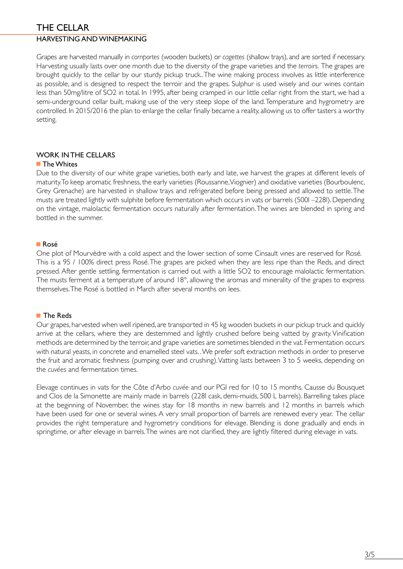## THE CELLAR HARVESTING AND WINEMAKING

Grapes are harvested manually in *comportes* (wooden buckets) or *cagettes* (shallow trays), and are sorted if necessary. Harvesting usually lasts over one month due to the diversity of the grape varieties and the *terroirs*. The grapes are brought quickly to the cellar by our sturdy pickup truck.. The wine making process involves as little interference as possible, and is designed to respect the terroir and the grapes. Sulphur is used wisely and our wines contain less than 50mg/litre of SO2 in total. In 1995, after being cramped in our little cellar right from the start, we had a semi-underground cellar built, making use of the very steep slope of the land. Temperature and hygrometry are controlled. In 2015/2016 the plan to enlarge the cellar finally became a reality, allowing us to offer tasters a worthy setting.

## WORK IN THE CELLARS

## $\blacksquare$  The Whites

Due to the diversity of our white grape varieties, both early and late, we harvest the grapes at different levels of maturity. To keep aromatic freshness, the early varieties (Roussanne, Viognier) and oxidative varieties (Bourboulenc, Grey Grenache) are harvested in shallow trays and refrigerated before being pressed and allowed to settle. The musts are treated lightly with sulphite before fermentation which occurs in vats or barrels (500l –228l). Depending on the vintage, malolactic fermentation occurs naturally after fermentation. The wines are blended in spring and bottled in the summer.

### $R$ osé

One plot of Mourvèdre with a cold aspect and the lower section of some Cinsault vines are reserved for Rosé. This is a 95 / 100% direct press Rosé. The grapes are picked when they are less ripe than the Reds, and direct pressed. After gentle settling, fermentation is carried out with a little SO2 to encourage malolactic fermentation. The musts ferment at a temperature of around 18°, allowing the aromas and minerality of the grapes to express themselves. The Rosé is bottled in March after several months on lees.

#### ■ The Reds

Our grapes, harvested when well ripened, are transported in 45 kg wooden buckets in our pickup truck and quickly arrive at the cellars, where they are destemmed and lightly crushed before being vatted by gravity. Vinification methods are determined by the terroir, and grape varieties are sometimes blended in the vat. Fermentation occurs with natural yeasts, in concrete and enamelled steel vats. . We prefer soft extraction methods in order to preserve the fruit and aromatic freshness (pumping over and crushing). Vatting lasts between 3 to 5 weeks, depending on the *cuvées* and fermentation times.

Elevage continues in vats for the Côte d'Arbo *cuvée* and our PGI red for 10 to 15 months. Causse du Bousquet and Clos de la Simonette are mainly made in barrels (228l cask, demi-muids, 500 L barrels). Barrelling takes place at the beginning of November, the wines stay for 18 months in new barrels and 12 months in barrels which have been used for one or several wines. A very small proportion of barrels are renewed every year. The cellar provides the right temperature and hygrometry conditions for elevage. Blending is done gradually and ends in springtime, or after elevage in barrels. The wines are not clarified, they are lightly filtered during elevage in vats.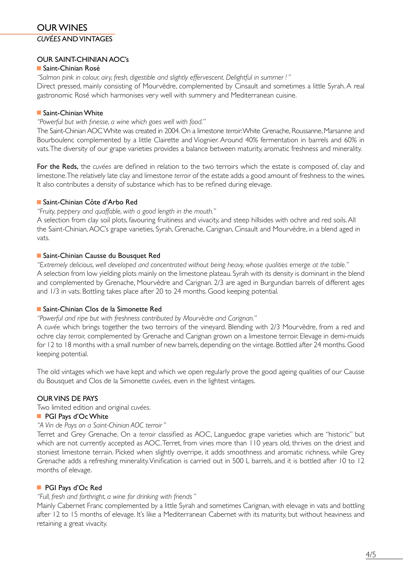# OUR WINES *CUVÉES* AND VINTAGES

## OUR SAINT-CHINIAN AOC's

## ■ Saint-Chinian Rosé

*"Salmon pink in colour, airy, fresh, digestible and slightly effervescent. Delightful in summer ! "*

Direct pressed, mainly consisting of Mourvèdre, complemented by Cinsault and sometimes a little Syrah. A real gastronomic Rosé which harmonises very well with summery and Mediterranean cuisine.

### ■ Saint-Chinian White

#### *"Powerful but with finesse, a wine which goes well with food."*

The Saint-Chinian AOC White was created in 2004. On a limestone *terroir*: White Grenache, Roussanne, Marsanne and Bourboulenc complemented by a little Clairette and Viognier. Around 40% fermentation in barrels and 60% in vats. The diversity of our grape varieties provides a balance between maturity, aromatic freshness and minerality.

For the Reds, the *cuvées* are defined in relation to the two terroirs which the estate is composed of, clay and limestone. The relatively late clay and limestone *terroir* of the estate adds a good amount of freshness to the wines. It also contributes a density of substance which has to be refined during elevage.

### <sup>g</sup> Saint-Chinian Côte d'Arbo Red

*"Fruity, peppery and quaffable, with a good length in the mouth."*

A selection from clay soil plots, favouring fruitiness and vivacity, and steep hillsides with ochre and red soils. All the Saint-Chinian, AOC's grape varieties, Syrah, Grenache, Carignan, Cinsault and Mourvèdre, in a blend aged in vats.

### **GE** Saint-Chinian Causse du Bousquet Red

*"Extremely delicious, well developed and concentrated without being heavy, whose qualities emerge at the table."* A selection from low yielding plots mainly on the limestone plateau. Syrah with its density is dominant in the blend and complemented by Grenache, Mourvèdre and Carignan. 2/3 are aged in Burgundian barrels of different ages and 1/3 in vats. Bottling takes place after 20 to 24 months. Good keeping potential.

#### <sup>g</sup> Saint-Chinian Clos de la Simonette Red

*"Powerful and ripe but with freshness contributed by Mourvèdre and Carignan."*

A *cuvée* which brings together the two terroirs of the vineyard. Blending with 2/3 Mourvèdre, from a red and ochre clay *terroir,* complemented by Grenache and Carignan grown on a limestone terroir. Elevage in demi-muids for 12 to 18 months with a small number of new barrels, depending on the vintage. Bottled after 24 months. Good keeping potential.

The old vintages which we have kept and which we open regularly prove the good ageing qualities of our Causse du Bousquet and Clos de la Simonette *cuvées,* even in the lightest vintages.

## OUR VINS DE PAYS

Two limited edition and original *cuvées*.

## **PGI Pays d'Oc White**

## *"A Vin de Pays on a Saint-Chinian AOC terroir "*

Terret and Grey Grenache. On a *terroir* classified as AOC, Languedoc grape varieties which are "historic" but which are not currently accepted as AOC. Terret, from vines more than 110 years old, thrives on the driest and stoniest limestone terrain. Picked when slightly overripe, it adds smoothness and aromatic richness, while Grey Grenache adds a refreshing minerality. Vinification is carried out in 500 L barrels, and it is bottled after 10 to 12 months of elevage.

## <sup>g</sup> PGI Pays d'Oc Red

#### *"Full, fresh and forthright, a wine for drinking with friends "*

Mainly Cabernet Franc complemented by a little Syrah and sometimes Carignan, with elevage in vats and bottling after 12 to 15 months of elevage. It's like a Mediterranean Cabernet with its maturity, but without heaviness and retaining a great vivacity.